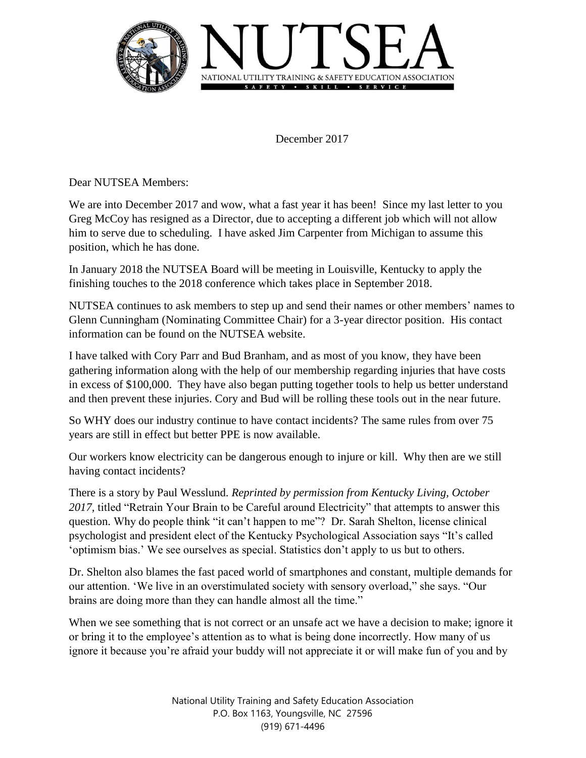

December 2017

Dear NUTSEA Members:

We are into December 2017 and wow, what a fast year it has been! Since my last letter to you Greg McCoy has resigned as a Director, due to accepting a different job which will not allow him to serve due to scheduling. I have asked Jim Carpenter from Michigan to assume this position, which he has done.

In January 2018 the NUTSEA Board will be meeting in Louisville, Kentucky to apply the finishing touches to the 2018 conference which takes place in September 2018.

NUTSEA continues to ask members to step up and send their names or other members' names to Glenn Cunningham (Nominating Committee Chair) for a 3-year director position. His contact information can be found on the NUTSEA website.

I have talked with Cory Parr and Bud Branham, and as most of you know, they have been gathering information along with the help of our membership regarding injuries that have costs in excess of \$100,000. They have also began putting together tools to help us better understand and then prevent these injuries. Cory and Bud will be rolling these tools out in the near future.

So WHY does our industry continue to have contact incidents? The same rules from over 75 years are still in effect but better PPE is now available.

Our workers know electricity can be dangerous enough to injure or kill. Why then are we still having contact incidents?

There is a story by Paul Wesslund. *Reprinted by permission from Kentucky Living, October 2017,* titled "Retrain Your Brain to be Careful around Electricity" that attempts to answer this question. Why do people think "it can't happen to me"? Dr. Sarah Shelton, license clinical psychologist and president elect of the Kentucky Psychological Association says "It's called 'optimism bias.' We see ourselves as special. Statistics don't apply to us but to others.

Dr. Shelton also blames the fast paced world of smartphones and constant, multiple demands for our attention. 'We live in an overstimulated society with sensory overload," she says. "Our brains are doing more than they can handle almost all the time."

When we see something that is not correct or an unsafe act we have a decision to make; ignore it or bring it to the employee's attention as to what is being done incorrectly. How many of us ignore it because you're afraid your buddy will not appreciate it or will make fun of you and by